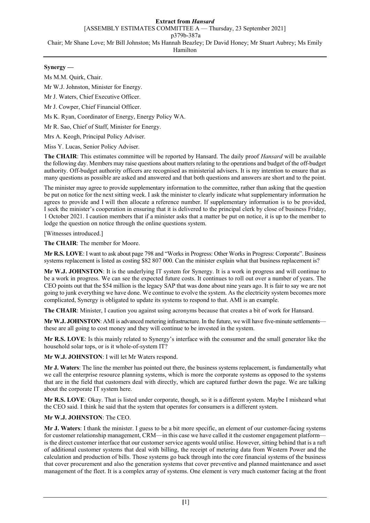# **Synergy —**

Ms M.M. Quirk, Chair.

Mr W.J. Johnston, Minister for Energy.

Mr J. Waters, Chief Executive Officer.

Mr J. Cowper, Chief Financial Officer.

Ms K. Ryan, Coordinator of Energy, Energy Policy WA.

Mr R. Sao, Chief of Staff, Minister for Energy.

Mrs A. Keogh, Principal Policy Adviser.

Miss Y. Lucas, Senior Policy Adviser.

**The CHAIR**: This estimates committee will be reported by Hansard. The daily proof *Hansard* will be available the following day. Members may raise questions about matters relating to the operations and budget of the off-budget authority. Off-budget authority officers are recognised as ministerial advisers. It is my intention to ensure that as many questions as possible are asked and answered and that both questions and answers are short and to the point.

The minister may agree to provide supplementary information to the committee, rather than asking that the question be put on notice for the next sitting week. I ask the minister to clearly indicate what supplementary information he agrees to provide and I will then allocate a reference number. If supplementary information is to be provided, I seek the minister's cooperation in ensuring that it is delivered to the principal clerk by close of business Friday, 1 October 2021. I caution members that if a minister asks that a matter be put on notice, it is up to the member to lodge the question on notice through the online questions system.

[Witnesses introduced.]

**The CHAIR**: The member for Moore.

**Mr R.S. LOVE**: I want to ask about page 798 and "Works in Progress: Other Works in Progress: Corporate". Business systems replacement is listed as costing \$82 807 000. Can the minister explain what that business replacement is?

**Mr W.J. JOHNSTON**: It is the underlying IT system for Synergy. It is a work in progress and will continue to be a work in progress. We can see the expected future costs. It continues to roll out over a number of years. The CEO points out that the \$54 million is the legacy SAP that was done about nine years ago. It is fair to say we are not going to junk everything we have done. We continue to evolve the system. As the electricity system becomes more complicated, Synergy is obligated to update its systems to respond to that. AMI is an example.

**The CHAIR**: Minister, I caution you against using acronyms because that creates a bit of work for Hansard.

**Mr W.J. JOHNSTON**: AMI is advanced metering infrastructure. In the future, we will have five-minute settlements these are all going to cost money and they will continue to be invested in the system.

**Mr R.S. LOVE**: Is this mainly related to Synergy's interface with the consumer and the small generator like the household solar tops, or is it whole-of-system IT?

**Mr W.J. JOHNSTON**: I will let Mr Waters respond.

**Mr J. Waters**: The line the member has pointed out there, the business systems replacement, is fundamentally what we call the enterprise resource planning systems, which is more the corporate systems as opposed to the systems that are in the field that customers deal with directly, which are captured further down the page. We are talking about the corporate IT system here.

**Mr R.S. LOVE**: Okay. That is listed under corporate, though, so it is a different system. Maybe I misheard what the CEO said. I think he said that the system that operates for consumers is a different system.

### **Mr W.J. JOHNSTON**: The CEO.

**Mr J. Waters**: I thank the minister. I guess to be a bit more specific, an element of our customer-facing systems for customer relationship management, CRM—in this case we have called it the customer engagement platform is the direct customer interface that our customer service agents would utilise. However, sitting behind that is a raft of additional customer systems that deal with billing, the receipt of metering data from Western Power and the calculation and production of bills. Those systems go back through into the core financial systems of the business that cover procurement and also the generation systems that cover preventive and planned maintenance and asset management of the fleet. It is a complex array of systems. One element is very much customer facing at the front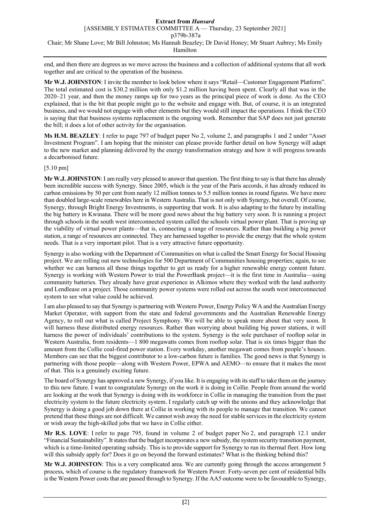end, and then there are degrees as we move across the business and a collection of additional systems that all work together and are critical to the operation of the business.

**Mr W.J. JOHNSTON**: I invite the member to look below where it says "Retail—Customer Engagement Platform". The total estimated cost is \$30.2 million with only \$1.2 million having been spent. Clearly all that was in the 2020–21 year, and then the money ramps up for two years as the principal piece of work is done. As the CEO explained, that is the bit that people might go to the website and engage with. But, of course, it is an integrated business, and we would not engage with other elements but they would still impact the operations. I think the CEO is saying that that business systems replacement is the ongoing work. Remember that SAP does not just generate the bill; it does a lot of other activity for the organisation.

**Ms H.M. BEAZLEY**: I refer to page 797 of budget paper No 2, volume 2, and paragraphs 1 and 2 under "Asset Investment Program". I am hoping that the minister can please provide further detail on how Synergy will adapt to the new market and planning delivered by the energy transformation strategy and how it will progress towards a decarbonised future.

# [5.10 pm]

**Mr W.J. JOHNSTON**: I am really very pleased to answer that question. The first thing to say is that there has already been incredible success with Synergy. Since 2005, which is the year of the Paris accords, it has already reduced its carbon emissions by 50 per cent from nearly 12 million tonnes to 5.5 million tonnes in round figures. We have more than doubled large-scale renewables here in Western Australia. That is not only with Synergy, but overall. Of course, Synergy, through Bright Energy Investments, is supporting that work. It is also adapting to the future by installing the big battery in Kwinana. There will be more good news about the big battery very soon. It is running a project through schools in the south west interconnected system called the schools virtual power plant. That is proving up the viability of virtual power plants—that is, connecting a range of resources. Rather than building a big power station, a range of resources are connected. They are harnessed together to provide the energy that the whole system needs. That is a very important pilot. That is a very attractive future opportunity.

Synergy is also working with the Department of Communities on what is called the Smart Energy for Social Housing project. We are rolling out new technologies for 500 Department of Communities housing properties; again, to see whether we can harness all those things together to get us ready for a higher renewable energy content future. Synergy is working with Western Power to trial the PowerBank project—it is the first time in Australia—using community batteries. They already have great experience in Alkimos where they worked with the land authority and Lendlease on a project. Those community power systems were rolled out across the south west interconnected system to see what value could be achieved.

I am also pleased to say that Synergy is partnering with Western Power, Energy Policy WA and the Australian Energy Market Operator, with support from the state and federal governments and the Australian Renewable Energy Agency, to roll out what is called Project Symphony. We will be able to speak more about that very soon. It will harness these distributed energy resources. Rather than worrying about building big power stations, it will harness the power of individuals' contributions to the system. Synergy is the sole purchaser of rooftop solar in Western Australia, from residents—1 800 megawatts comes from rooftop solar. That is six times bigger than the amount from the Collie coal-fired power station. Every workday, another megawatt comes from people's houses. Members can see that the biggest contributor to a low-carbon future is families. The good news is that Synergy is partnering with those people—along with Western Power, EPWA and AEMO—to ensure that it makes the most of that. This is a genuinely exciting future.

The board of Synergy has approved a new Synergy, if you like. It is engaging with its staff to take them on the journey to this new future. I want to congratulate Synergy on the work it is doing in Collie. People from around the world are looking at the work that Synergy is doing with its workforce in Collie in managing the transition from the past electricity system to the future electricity system. I regularly catch up with the unions and they acknowledge that Synergy is doing a good job down there at Collie in working with its people to manage that transition. We cannot pretend that these things are not difficult. We cannot wish away the need for stable services in the electricity system or wish away the high-skilled jobs that we have in Collie either.

**Mr R.S. LOVE**: I refer to page 795, found in volume 2 of budget paper No 2, and paragraph 12.1 under "Financial Sustainability". It states that the budget incorporates a new subsidy, the system security transition payment, which is a time-limited operating subsidy. This is to provide support for Synergy to run its thermal fleet. How long will this subsidy apply for? Does it go on beyond the forward estimates? What is the thinking behind this?

**Mr W.J. JOHNSTON**: This is a very complicated area. We are currently going through the access arrangement 5 process, which of course is the regulatory framework for Western Power. Forty-seven per cent of residential bills is the Western Power costs that are passed through to Synergy. If the AA5 outcome were to be favourable to Synergy,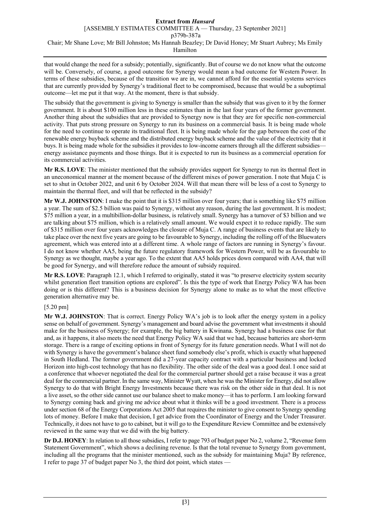that would change the need for a subsidy; potentially, significantly. But of course we do not know what the outcome will be. Conversely, of course, a good outcome for Synergy would mean a bad outcome for Western Power. In terms of these subsidies, because of the transition we are in, we cannot afford for the essential systems services that are currently provided by Synergy's traditional fleet to be compromised, because that would be a suboptimal outcome—let me put it that way. At the moment, there is that subsidy.

The subsidy that the government is giving to Synergy is smaller than the subsidy that was given to it by the former government. It is about \$100 million less in these estimates than in the last four years of the former government. Another thing about the subsidies that are provided to Synergy now is that they are for specific non-commercial activity. That puts strong pressure on Synergy to run its business on a commercial basis. It is being made whole for the need to continue to operate its traditional fleet. It is being made whole for the gap between the cost of the renewable energy buyback scheme and the distributed energy buyback scheme and the value of the electricity that it buys. It is being made whole for the subsidies it provides to low-income earners through all the different subsidiesenergy assistance payments and those things. But it is expected to run its business as a commercial operation for its commercial activities.

**Mr R.S. LOVE**: The minister mentioned that the subsidy provides support for Synergy to run its thermal fleet in an uneconomical manner at the moment because of the different mixes of power generation. I note that Muja C is set to shut in October 2022, and unit 6 by October 2024. Will that mean there will be less of a cost to Synergy to maintain the thermal fleet, and will that be reflected in the subsidy?

**Mr W.J. JOHNSTON**: I make the point that it is \$315 million over four years; that is something like \$75 million a year. The sum of \$2.5 billion was paid to Synergy, without any reason, during the last government. It is modest; \$75 million a year, in a multibillion-dollar business, is relatively small. Synergy has a turnover of \$3 billion and we are talking about \$75 million, which is a relatively small amount. We would expect it to reduce rapidly. The sum of \$315 million over four years acknowledges the closure of Muja C. A range of business events that are likely to take place over the next five years are going to be favourable to Synergy, including the rolling off of the Bluewaters agreement, which was entered into at a different time. A whole range of factors are running in Synergy's favour. I do not know whether AA5, being the future regulatory framework for Western Power, will be as favourable to Synergy as we thought, maybe a year ago. To the extent that AA5 holds prices down compared with AA4, that will be good for Synergy, and will therefore reduce the amount of subsidy required.

**Mr R.S. LOVE**: Paragraph 12.1, which I referred to originally, stated it was "to preserve electricity system security whilst generation fleet transition options are explored". Is this the type of work that Energy Policy WA has been doing or is this different? This is a business decision for Synergy alone to make as to what the most effective generation alternative may be.

[5.20 pm]

**Mr W.J. JOHNSTON**: That is correct. Energy Policy WA's job is to look after the energy system in a policy sense on behalf of government. Synergy's management and board advise the government what investments it should make for the business of Synergy; for example, the big battery in Kwinana. Synergy had a business case for that and, as it happens, it also meets the need that Energy Policy WA said that we had, because batteries are short-term storage. There is a range of exciting options in front of Synergy for its future generation needs. What I will not do with Synergy is have the government's balance sheet fund somebody else's profit, which is exactly what happened in South Hedland. The former government did a 27-year capacity contract with a particular business and locked Horizon into high-cost technology that has no flexibility. The other side of the deal was a good deal. I once said at a conference that whoever negotiated the deal for the commercial partner should get a raise because it was a great deal for the commercial partner. In the same way, Minister Wyatt, when he was the Minister for Energy, did not allow Synergy to do that with Bright Energy Investments because there was risk on the other side in that deal. It is not a live asset, so the other side cannot use our balance sheet to make money—it has to perform. I am looking forward to Synergy coming back and giving me advice about what it thinks will be a good investment. There is a process under section 68 of the Energy Corporations Act 2005 that requires the minister to give consent to Synergy spending lots of money. Before I make that decision, I get advice from the Coordinator of Energy and the Under Treasurer. Technically, it does not have to go to cabinet, but it will go to the Expenditure Review Committee and be extensively reviewed in the same way that we did with the big battery.

**Dr D.J. HONEY**: In relation to all those subsidies, I refer to page 793 of budget paper No 2, volume 2, "Revenue form Statement Government", which shows a declining revenue. Is that the total revenue to Synergy from government, including all the programs that the minister mentioned, such as the subsidy for maintaining Muja? By reference, I refer to page 37 of budget paper No 3, the third dot point, which states -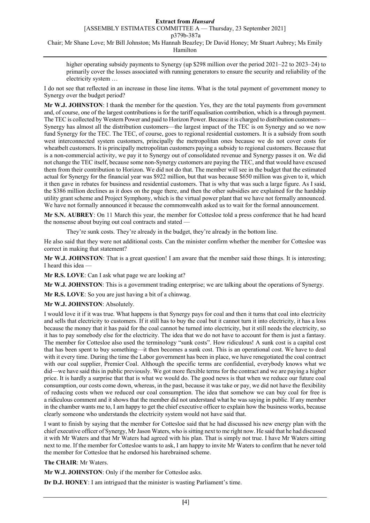Hamilton

higher operating subsidy payments to Synergy (up \$298 million over the period 2021–22 to 2023–24) to primarily cover the losses associated with running generators to ensure the security and reliability of the electricity system …

I do not see that reflected in an increase in those line items. What is the total payment of government money to Synergy over the budget period?

**Mr W.J. JOHNSTON**: I thank the member for the question. Yes, they are the total payments from government and, of course, one of the largest contributions is for the tariff equalisation contribution, which is a through payment. The TEC is collected by Western Power and paid to Horizon Power. Because it is charged to distribution customers— Synergy has almost all the distribution customers—the largest impact of the TEC is on Synergy and so we now fund Synergy for the TEC. The TEC, of course, goes to regional residential customers. It is a subsidy from south west interconnected system customers, principally the metropolitan ones because we do not cover costs for wheatbelt customers. It is principally metropolitan customers paying a subsidy to regional customers. Because that is a non-commercial activity, we pay it to Synergy out of consolidated revenue and Synergy passes it on. We did not change the TEC itself, because some non-Synergy customers are paying the TEC, and that would have excused them from their contribution to Horizon. We did not do that. The member will see in the budget that the estimated actual for Synergy for the financial year was \$922 million, but that was because \$650 million was given to it, which it then gave in rebates for business and residential customers. That is why that was such a large figure. As I said, the \$386 million declines as it does on the page there, and then the other subsidies are explained for the hardship utility grant scheme and Project Symphony, which is the virtual power plant that we have not formally announced. We have not formally announced it because the commonwealth asked us to wait for the formal announcement.

**Mr S.N. AUBREY**: On 11 March this year, the member for Cottesloe told a press conference that he had heard the nonsense about buying out coal contracts and stated —

They're sunk costs. They're already in the budget, they're already in the bottom line.

He also said that they were not additional costs. Can the minister confirm whether the member for Cottesloe was correct in making that statement?

**Mr W.J. JOHNSTON**: That is a great question! I am aware that the member said those things. It is interesting; I heard this idea —

**Mr R.S. LOVE**: Can I ask what page we are looking at?

**Mr W.J. JOHNSTON**: This is a government trading enterprise; we are talking about the operations of Synergy.

**Mr R.S. LOVE**: So you are just having a bit of a chinwag.

**Mr W.J. JOHNSTON**: Absolutely.

I would love it if it was true. What happens is that Synergy pays for coal and then it turns that coal into electricity and sells that electricity to customers. If it still has to buy the coal but it cannot turn it into electricity, it has a loss because the money that it has paid for the coal cannot be turned into electricity, but it still needs the electricity, so it has to pay somebody else for the electricity. The idea that we do not have to account for them is just a fantasy. The member for Cottesloe also used the terminology "sunk costs". How ridiculous! A sunk cost is a capital cost that has been spent to buy something—it then becomes a sunk cost. This is an operational cost. We have to deal with it every time. During the time the Labor government has been in place, we have renegotiated the coal contract with our coal supplier, Premier Coal. Although the specific terms are confidential, everybody knows what we did—we have said this in public previously. We got more flexible terms for the contract and we are paying a higher price. It is hardly a surprise that that is what we would do. The good news is that when we reduce our future coal consumption, our costs come down, whereas, in the past, because it was take or pay, we did not have the flexibility of reducing costs when we reduced our coal consumption. The idea that somehow we can buy coal for free is a ridiculous comment and it shows that the member did not understand what he was saying in public. If any member in the chamber wants me to, I am happy to get the chief executive officer to explain how the business works, because clearly someone who understands the electricity system would not have said that.

I want to finish by saying that the member for Cottesloe said that he had discussed his new energy plan with the chief executive officer of Synergy, Mr Jason Waters, who is sitting next to me right now. He said that he had discussed it with Mr Waters and that Mr Waters had agreed with his plan. That is simply not true. I have Mr Waters sitting next to me. If the member for Cottesloe wants to ask, I am happy to invite Mr Waters to confirm that he never told the member for Cottesloe that he endorsed his harebrained scheme.

### **The CHAIR**: Mr Waters.

**Mr W.J. JOHNSTON**: Only if the member for Cottesloe asks.

**Dr D.J. HONEY**: I am intrigued that the minister is wasting Parliament's time.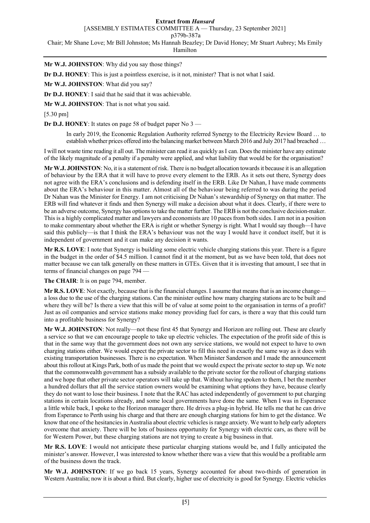#### **Extract from** *Hansard*

[ASSEMBLY ESTIMATES COMMITTEE A — Thursday, 23 September 2021]

p379b-387a

Chair; Mr Shane Love; Mr Bill Johnston; Ms Hannah Beazley; Dr David Honey; Mr Stuart Aubrey; Ms Emily

Hamilton

**Mr W.J. JOHNSTON**: Why did you say those things?

**Dr D.J. HONEY**: This is just a pointless exercise, is it not, minister? That is not what I said.

**Mr W.J. JOHNSTON**: What did you say?

**Dr D.J. HONEY**: I said that he said that it was achievable.

**Mr W.J. JOHNSTON**: That is not what you said.

[5.30 pm]

**Dr D.J. HONEY**: It states on page 58 of budget paper No 3 —

In early 2019, the Economic Regulation Authority referred Synergy to the Electricity Review Board … to establish whether prices offered into the balancing market between March 2016 and July 2017 had breached …

I will not waste time reading it all out. The minister can read it as quickly asI can. Does the minister have any estimate of the likely magnitude of a penalty if a penalty were applied, and what liability that would be for the organisation?

**Mr W.J. JOHNSTON**: No, it is a statement of risk. There is no budget allocation towards it because it is an allegation of behaviour by the ERA that it will have to prove every element to the ERB. As it sets out there, Synergy does not agree with the ERA's conclusions and is defending itself in the ERB. Like Dr Nahan, I have made comments about the ERA's behaviour in this matter. Almost all of the behaviour being referred to was during the period Dr Nahan was the Minister for Energy. I am not criticising Dr Nahan's stewardship of Synergy on that matter. The ERB will find whatever it finds and then Synergy will make a decision about what it does. Clearly, if there were to be an adverse outcome, Synergy has options to take the matter further. The ERB is not the conclusive decision-maker. This is a highly complicated matter and lawyers and economists are 10 paces from both sides. I am not in a position to make commentary about whether the ERA is right or whether Synergy is right. What I would say though—I have said this publicly—is that I think the ERA's behaviour was not the way I would have it conduct itself, but it is independent of government and it can make any decision it wants.

**Mr R.S. LOVE**: I note that Synergy is building some electric vehicle charging stations this year. There is a figure in the budget in the order of \$4.5 million. I cannot find it at the moment, but as we have been told, that does not matter because we can talk generally on these matters in GTEs. Given that it is investing that amount, I see that in terms of financial changes on page 794 —

**The CHAIR**: It is on page 794, member.

**Mr R.S. LOVE**: Not exactly, because that is the financial changes. I assume that meansthat is an income change a loss due to the use of the charging stations. Can the minister outline how many charging stations are to be built and where they will be? Is there a view that this will be of value at some point to the organisation in terms of a profit? Just as oil companies and service stations make money providing fuel for cars, is there a way that this could turn into a profitable business for Synergy?

**Mr W.J. JOHNSTON**: Not really—not these first 45 that Synergy and Horizon are rolling out. These are clearly a service so that we can encourage people to take up electric vehicles. The expectation of the profit side of this is that in the same way that the government does not own any service stations, we would not expect to have to own charging stations either. We would expect the private sector to fill this need in exactly the same way as it does with existing transportation businesses. There is no expectation. When Minister Sanderson and I made the announcement about this rollout at Kings Park, both of us made the point that we would expect the private sector to step up. We note that the commonwealth government has a subsidy available to the private sector for the rollout of charging stations and we hope that other private sector operators will take up that. Without having spoken to them, I bet the member a hundred dollars that all the service station owners would be examining what options they have, because clearly they do not want to lose their business. I note that the RAC has acted independently of government to put charging stations in certain locations already, and some local governments have done the same. When I was in Esperance a little while back, I spoke to the Horizon manager there. He drives a plug-in hybrid. He tells me that he can drive from Esperance to Perth using his charge and that there are enough charging stations for him to get the distance. We know that one of the hesitancies in Australia about electric vehicles is range anxiety. We want to help early adopters overcome that anxiety. There will be lots of business opportunity for Synergy with electric cars, as there will be for Western Power, but these charging stations are not trying to create a big business in that.

**Mr R.S. LOVE**: I would not anticipate these particular charging stations would be, and I fully anticipated the minister's answer. However, I was interested to know whether there was a view that this would be a profitable arm of the business down the track.

**Mr W.J. JOHNSTON**: If we go back 15 years, Synergy accounted for about two-thirds of generation in Western Australia; now it is about a third. But clearly, higher use of electricity is good for Synergy. Electric vehicles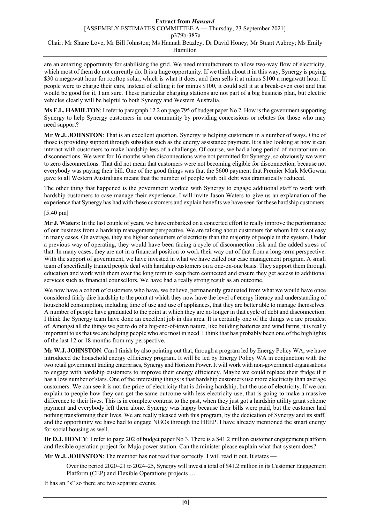are an amazing opportunity for stabilising the grid. We need manufacturers to allow two-way flow of electricity, which most of them do not currently do. It is a huge opportunity. If we think about it in this way, Synergy is paying \$30 a megawatt hour for rooftop solar, which is what it does, and then sells it at minus \$100 a megawatt hour. If people were to charge their cars, instead of selling it for minus \$100, it could sell it at a break-even cost and that would be good for it, I am sure. These particular charging stations are not part of a big business plan, but electric vehicles clearly will be helpful to both Synergy and Western Australia.

**Ms E.L. HAMILTON**: I refer to paragraph 12.2 on page 795 of budget paper No 2. How is the government supporting Synergy to help Synergy customers in our community by providing concessions or rebates for those who may need support?

**Mr W.J. JOHNSTON**: That is an excellent question. Synergy is helping customers in a number of ways. One of those is providing support through subsidies such as the energy assistance payment. It is also looking at how it can interact with customers to make hardship less of a challenge. Of course, we had a long period of moratorium on disconnections. We went for 16 months when disconnections were not permitted for Synergy, so obviously we went to zero disconnections. That did not mean that customers were not becoming eligible for disconnection, because not everybody was paying their bill. One of the good things was that the \$600 payment that Premier Mark McGowan gave to all Western Australians meant that the number of people with bill debt was dramatically reduced.

The other thing that happened is the government worked with Synergy to engage additional staff to work with hardship customers to case manage their experience. I will invite Jason Waters to give us an explanation of the experience that Synergy has had with these customers and explain benefits we have seen for these hardship customers.

### [5.40 pm]

**Mr J. Waters**: In the last couple of years, we have embarked on a concerted effort to really improve the performance of our business from a hardship management perspective. We are talking about customers for whom life is not easy in many cases. On average, they are higher consumers of electricity than the majority of people in the system. Under a previous way of operating, they would have been facing a cycle of disconnection risk and the added stress of that. In many cases, they are not in a financial position to work their way out of that from a long-term perspective. With the support of government, we have invested in what we have called our case management program. A small team of specifically trained people deal with hardship customers on a one-on-one basis. They support them through education and work with them over the long term to keep them connected and ensure they get access to additional services such as financial counsellors. We have had a really strong result as an outcome.

We now have a cohort of customers who have, we believe, permanently graduated from what we would have once considered fairly dire hardship to the point at which they now have the level of energy literacy and understanding of household consumption, including time of use and use of appliances, that they are better able to manage themselves. A number of people have graduated to the point at which they are no longer in that cycle of debt and disconnection. I think the Synergy team have done an excellent job in this area. It is certainly one of the things we are proudest of. Amongst all the things we get to do of a big-end-of-town nature, like building batteries and wind farms, it is really important to us that we are helping people who are most in need. I think that has probably been one of the highlights of the last 12 or 18 months from my perspective.

**Mr W.J. JOHNSTON**: Can I finish by also pointing out that, through a program led by Energy Policy WA, we have introduced the household energy efficiency program. It will be led by Energy Policy WA in conjunction with the two retail government trading enterprises, Synergy and Horizon Power. It will work with non-government organisations to engage with hardship customers to improve their energy efficiency. Maybe we could replace their fridge if it has a low number of stars. One of the interesting things is that hardship customers use more electricity than average customers. We can see it is not the price of electricity that is driving hardship, but the use of electricity. If we can explain to people how they can get the same outcome with less electricity use, that is going to make a massive difference to their lives. This is in complete contrast to the past, when they just got a hardship utility grant scheme payment and everybody left them alone. Synergy was happy because their bills were paid, but the customer had nothing transforming their lives. We are really pleased with this program, by the dedication of Synergy and its staff, and the opportunity we have had to engage NGOs through the HEEP. I have already mentioned the smart energy for social housing as well.

**Dr D.J. HONEY**: I refer to page 202 of budget paper No 3. There is a \$41.2 million customer engagement platform and flexible operation project for Muja power station. Can the minister please explain what that system does?

Mr W.J. JOHNSTON: The member has not read that correctly. I will read it out. It states —

Over the period 2020–21 to 2024–25, Synergy will invest a total of \$41.2 million in its Customer Engagement Platform (CEP) and Flexible Operations projects …

It has an "s" so there are two separate events.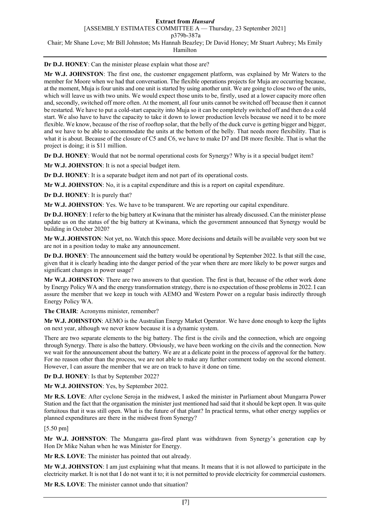**Dr D.J. HONEY**: Can the minister please explain what those are?

**Mr W.J. JOHNSTON**: The first one, the customer engagement platform, was explained by Mr Waters to the member for Moore when we had that conversation. The flexible operations projects for Muja are occurring because, at the moment, Muja is four units and one unit is started by using another unit. We are going to close two of the units, which will leave us with two units. We would expect those units to be, firstly, used at a lower capacity more often and, secondly, switched off more often. At the moment, all four units cannot be switched off because then it cannot be restarted. We have to put a cold-start capacity into Muja so it can be completely switched off and then do a cold start. We also have to have the capacity to take it down to lower production levels because we need it to be more flexible. We know, because of the rise of rooftop solar, that the belly of the duck curve is getting bigger and bigger, and we have to be able to accommodate the units at the bottom of the belly. That needs more flexibility. That is what it is about. Because of the closure of C5 and C6, we have to make D7 and D8 more flexible. That is what the project is doing; it is \$11 million.

**Dr D.J. HONEY**: Would that not be normal operational costs for Synergy? Why is it a special budget item?

**Mr W.J. JOHNSTON**: It is not a special budget item.

**Dr D.J. HONEY**: It is a separate budget item and not part of its operational costs.

**Mr W.J. JOHNSTON**: No, it is a capital expenditure and this is a report on capital expenditure.

**Dr D.J. HONEY**: It is purely that?

**Mr W.J. JOHNSTON**: Yes. We have to be transparent. We are reporting our capital expenditure.

**Dr D.J. HONEY**: I refer to the big battery at Kwinana that the minister has already discussed. Can the minister please update us on the status of the big battery at Kwinana, which the government announced that Synergy would be building in October 2020?

**Mr W.J. JOHNSTON**: Not yet, no. Watch this space. More decisions and details will be available very soon but we are not in a position today to make any announcement.

**Dr D.J. HONEY**: The announcement said the battery would be operational by September 2022. Is that still the case, given that it is clearly heading into the danger period of the year when there are more likely to be power surges and significant changes in power usage?

**Mr W.J. JOHNSTON**: There are two answers to that question. The first is that, because of the other work done by Energy Policy WA and the energy transformation strategy, there is no expectation of those problems in 2022. I can assure the member that we keep in touch with AEMO and Western Power on a regular basis indirectly through Energy Policy WA.

**The CHAIR**: Acronyms minister, remember?

**Mr W.J. JOHNSTON**: AEMO is the Australian Energy Market Operator. We have done enough to keep the lights on next year, although we never know because it is a dynamic system.

There are two separate elements to the big battery. The first is the civils and the connection, which are ongoing through Synergy. There is also the battery. Obviously, we have been working on the civils and the connection. Now we wait for the announcement about the battery. We are at a delicate point in the process of approval for the battery. For no reason other than the process, we are not able to make any further comment today on the second element. However, I can assure the member that we are on track to have it done on time.

**Dr D.J. HONEY**: Is that by September 2022?

**Mr W.J. JOHNSTON**: Yes, by September 2022.

**Mr R.S. LOVE**: After cyclone Seroja in the midwest, I asked the minister in Parliament about Mungarra Power Station and the fact that the organisation the minister just mentioned had said that it should be kept open. It was quite fortuitous that it was still open. What is the future of that plant? In practical terms, what other energy supplies or planned expenditures are there in the midwest from Synergy?

[5.50 pm]

**Mr W.J. JOHNSTON**: The Mungarra gas-fired plant was withdrawn from Synergy's generation cap by Hon Dr Mike Nahan when he was Minister for Energy.

**Mr R.S. LOVE**: The minister has pointed that out already.

**Mr W.J. JOHNSTON**: I am just explaining what that means. It means that it is not allowed to participate in the electricity market. It is not that I do not want it to; it is not permitted to provide electricity for commercial customers.

**Mr R.S. LOVE**: The minister cannot undo that situation?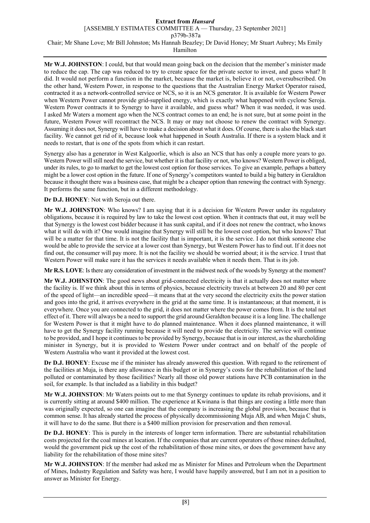### **Extract from** *Hansard*

[ASSEMBLY ESTIMATES COMMITTEE A — Thursday, 23 September 2021]

p379b-387a

Chair; Mr Shane Love; Mr Bill Johnston; Ms Hannah Beazley; Dr David Honey; Mr Stuart Aubrey; Ms Emily

Hamilton

**Mr W.J. JOHNSTON**: I could, but that would mean going back on the decision that the member's minister made to reduce the cap. The cap was reduced to try to create space for the private sector to invest, and guess what? It did. It would not perform a function in the market, because the market is, believe it or not, oversubscribed. On the other hand, Western Power, in response to the questions that the Australian Energy Market Operator raised, contracted it as a network-controlled service or NCS, so it is an NCS generator. It is available for Western Power when Western Power cannot provide grid-supplied energy, which is exactly what happened with cyclone Seroja. Western Power contracts it to Synergy to have it available, and guess what? When it was needed, it was used. I asked Mr Waters a moment ago when the NCS contract comes to an end; he is not sure, but at some point in the future, Western Power will recontract the NCS. It may or may not choose to renew the contract with Synergy. Assuming it does not, Synergy will have to make a decision about what it does. Of course, there is also the black start facility. We cannot get rid of it, because look what happened in South Australia. If there is a system black and it needs to restart, that is one of the spots from which it can restart.

Synergy also has a generator in West Kalgoorlie, which is also an NCS that has only a couple more years to go. Western Power will still need the service, but whether it is that facility or not, who knows? Western Power is obliged, under its rules, to go to market to get the lowest cost option for those services. To give an example, perhaps a battery might be a lower cost option in the future. If one of Synergy's competitors wanted to build a big battery in Geraldton because it thought there was a business case, that might be a cheaper option than renewing the contract with Synergy. It performs the same function, but in a different methodology.

**Dr D.J. HONEY**: Not with Seroja out there.

**Mr W.J. JOHNSTON**: Who knows? I am saying that it is a decision for Western Power under its regulatory obligations, because it is required by law to take the lowest cost option. When it contracts that out, it may well be that Synergy is the lowest cost bidder because it has sunk capital, and if it does not renew the contract, who knows what it will do with it? One would imagine that Synergy will still be the lowest cost option, but who knows? That will be a matter for that time. It is not the facility that is important, it is the service. I do not think someone else would be able to provide the service at a lower cost than Synergy, but Western Power has to find out. If it does not find out, the consumer will pay more. It is not the facility we should be worried about; it is the service. I trust that Western Power will make sure it has the services it needs available when it needs them. That is its job.

**Mr R.S. LOVE**: Is there any consideration of investment in the midwest neck of the woods by Synergy at the moment?

**Mr W.J. JOHNSTON**: The good news about grid-connected electricity is that it actually does not matter where the facility is. If we think about this in terms of physics, because electricity travels at between 20 and 80 per cent of the speed of light—an incredible speed—it means that at the very second the electricity exits the power station and goes into the grid, it arrives everywhere in the grid at the same time. It is instantaneous; at that moment, it is everywhere. Once you are connected to the grid, it does not matter where the power comes from. It is the total net effect of it. There will always be a need to support the grid around Geraldton because it is a long line. The challenge for Western Power is that it might have to do planned maintenance. When it does planned maintenance, it will have to get the Synergy facility running because it will need to provide the electricity. The service will continue to be provided, and I hope it continues to be provided by Synergy, because that is in our interest, as the shareholding minister in Synergy, but it is provided to Western Power under contract and on behalf of the people of Western Australia who want it provided at the lowest cost.

**Dr D.J. HONEY**: Excuse me if the minister has already answered this question. With regard to the retirement of the facilities at Muja, is there any allowance in this budget or in Synergy's costs for the rehabilitation of the land polluted or contaminated by those facilities? Nearly all those old power stations have PCB contamination in the soil, for example. Is that included as a liability in this budget?

**Mr W.J. JOHNSTON**: Mr Waters points out to me that Synergy continues to update its rehab provisions, and it is currently sitting at around \$400 million. The experience at Kwinana is that things are costing a little more than was originally expected, so one can imagine that the company is increasing the global provision, because that is common sense. It has already started the process of physically decommissioning Muja AB, and when Muja C shuts, it will have to do the same. But there is a \$400 million provision for preservation and then removal.

**Dr D.J. HONEY**: This is purely in the interests of longer term information. There are substantial rehabilitation costs projected for the coal mines at location. If the companies that are current operators of those mines defaulted, would the government pick up the cost of the rehabilitation of those mine sites, or does the government have any liability for the rehabilitation of those mine sites?

**Mr W.J. JOHNSTON**: If the member had asked me as Minister for Mines and Petroleum when the Department of Mines, Industry Regulation and Safety was here, I would have happily answered, but I am not in a position to answer as Minister for Energy.